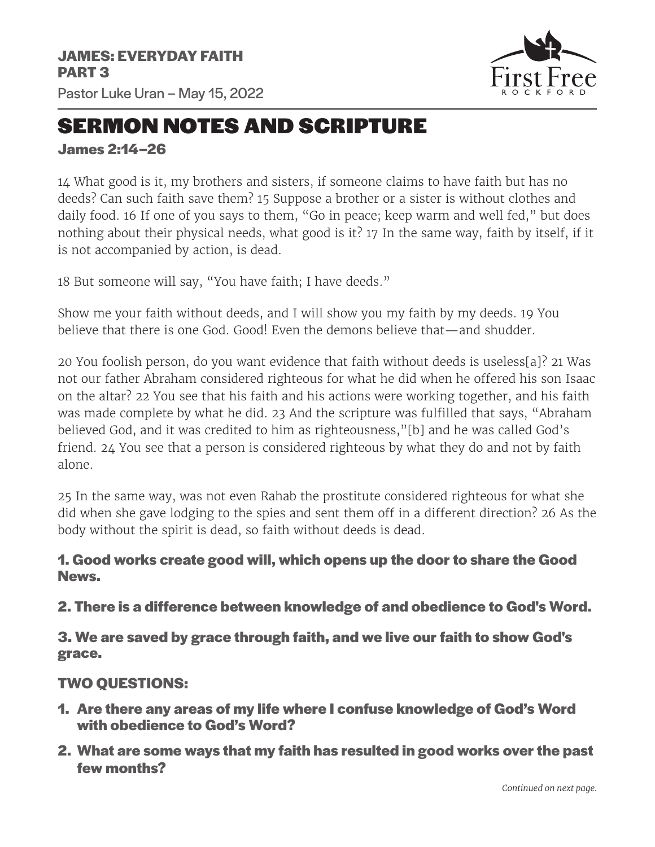

## SERMON NOTES AND SCRIPTURE

**James 2:14–26**

14 What good is it, my brothers and sisters, if someone claims to have faith but has no deeds? Can such faith save them? 15 Suppose a brother or a sister is without clothes and daily food. 16 If one of you says to them, "Go in peace; keep warm and well fed," but does nothing about their physical needs, what good is it? 17 In the same way, faith by itself, if it is not accompanied by action, is dead.

18 But someone will say, "You have faith; I have deeds."

Show me your faith without deeds, and I will show you my faith by my deeds. 19 You believe that there is one God. Good! Even the demons believe that—and shudder.

20 You foolish person, do you want evidence that faith without deeds is useless[a]? 21 Was not our father Abraham considered righteous for what he did when he offered his son Isaac on the altar? 22 You see that his faith and his actions were working together, and his faith was made complete by what he did. 23 And the scripture was fulfilled that says, "Abraham believed God, and it was credited to him as righteousness,"[b] and he was called God's friend. 24 You see that a person is considered righteous by what they do and not by faith alone.

25 In the same way, was not even Rahab the prostitute considered righteous for what she did when she gave lodging to the spies and sent them off in a different direction? 26 As the body without the spirit is dead, so faith without deeds is dead.

## **1. Good works create good will, which opens up the door to share the Good News.**

**2. There is a difference between knowledge of and obedience to God's Word.**

**3. We are saved by grace through faith, and we live our faith to show God's grace.**

## **TWO QUESTIONS:**

- **1. Are there any areas of my life where I confuse knowledge of God's Word with obedience to God's Word?**
- **2. What are some ways that my faith has resulted in good works over the past few months?**